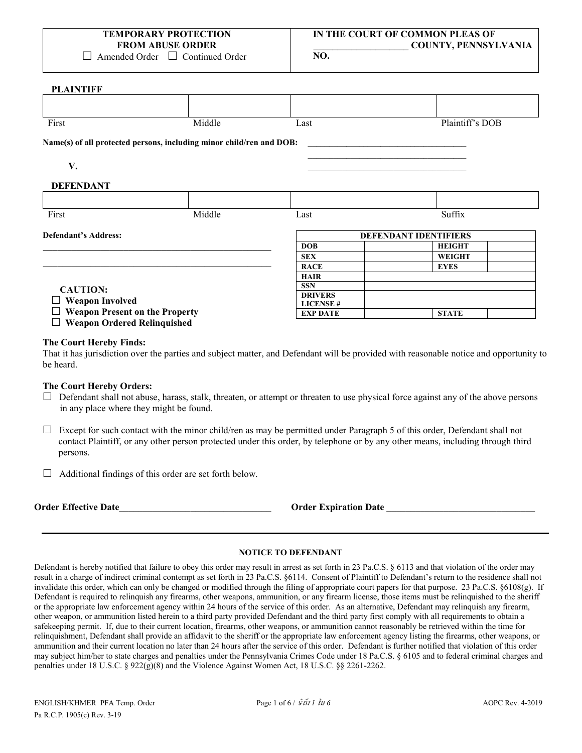| TEMPORARY PROTECTION    |
|-------------------------|
| <b>FROM ABUSE ORDER</b> |

 $\Box$  Amended Order  $\Box$  Continued Order

**PLAINTIFF**

| <b>FLAIN LIFF</b>                     |                                                                      |                 |                              |
|---------------------------------------|----------------------------------------------------------------------|-----------------|------------------------------|
|                                       |                                                                      |                 |                              |
| First                                 | Middle                                                               | Last            | Plaintiff's DOB              |
|                                       | Name(s) of all protected persons, including minor child/ren and DOB: |                 |                              |
| V.                                    |                                                                      |                 |                              |
| <b>DEFENDANT</b>                      |                                                                      |                 |                              |
|                                       |                                                                      |                 |                              |
| First                                 | Middle                                                               | Last            | Suffix                       |
| <b>Defendant's Address:</b>           |                                                                      |                 | <b>DEFENDANT IDENTIFIERS</b> |
|                                       |                                                                      | <b>DOB</b>      | <b>HEIGHT</b>                |
|                                       |                                                                      | <b>SEX</b>      | <b>WEIGHT</b>                |
|                                       |                                                                      | <b>RACE</b>     | <b>EYES</b>                  |
|                                       |                                                                      | <b>HAIR</b>     |                              |
| <b>CAUTION:</b>                       |                                                                      | <b>SSN</b>      |                              |
|                                       |                                                                      | <b>DRIVERS</b>  |                              |
| <b>Weapon Involved</b>                |                                                                      | <b>LICENSE#</b> |                              |
| <b>Weapon Present on the Property</b> |                                                                      | <b>EXP DATE</b> | <b>STATE</b>                 |
| <b>Weapon Ordered Relinquished</b>    |                                                                      |                 |                              |

#### **The Court Hereby Finds:**

That it has jurisdiction over the parties and subject matter, and Defendant will be provided with reasonable notice and opportunity to be heard.

### **The Court Hereby Orders:**

- $\Box$  Defendant shall not abuse, harass, stalk, threaten, or attempt or threaten to use physical force against any of the above persons in any place where they might be found.
- $\Box$  Except for such contact with the minor child/ren as may be permitted under Paragraph 5 of this order, Defendant shall not contact Plaintiff, or any other person protected under this order, by telephone or by any other means, including through third persons.
- $\Box$  Additional findings of this order are set forth below.

**Order Effective Date\_\_\_\_\_\_\_\_\_\_\_\_\_\_\_\_\_\_\_\_\_\_\_\_\_\_\_\_\_\_\_\_ Order Expiration Date \_\_\_\_\_\_\_\_\_\_\_\_\_\_\_\_\_\_\_\_\_\_\_\_\_\_\_\_\_\_\_** 

## **NOTICE TO DEFENDANT**

Defendant is hereby notified that failure to obey this order may result in arrest as set forth in 23 Pa.C.S. § 6113 and that violation of the order may result in a charge of indirect criminal contempt as set forth in 23 Pa.C.S. §6114. Consent of Plaintiff to Defendant's return to the residence shall not invalidate this order, which can only be changed or modified through the filing of appropriate court papers for that purpose. 23 Pa.C.S. §6108(g). If Defendant is required to relinquish any firearms, other weapons, ammunition, or any firearm license, those items must be relinquished to the sheriff or the appropriate law enforcement agency within 24 hours of the service of this order. As an alternative, Defendant may relinquish any firearm, other weapon, or ammunition listed herein to a third party provided Defendant and the third party first comply with all requirements to obtain a safekeeping permit. If, due to their current location, firearms, other weapons, or ammunition cannot reasonably be retrieved within the time for relinquishment, Defendant shall provide an affidavit to the sheriff or the appropriate law enforcement agency listing the firearms, other weapons, or ammunition and their current location no later than 24 hours after the service of this order. Defendant is further notified that violation of this order may subject him/her to state charges and penalties under the Pennsylvania Crimes Code under 18 Pa.C.S. § 6105 and to federal criminal charges and penalties under 18 U.S.C. § 922(g)(8) and the Violence Against Women Act, 18 U.S.C. §§ 2261-2262.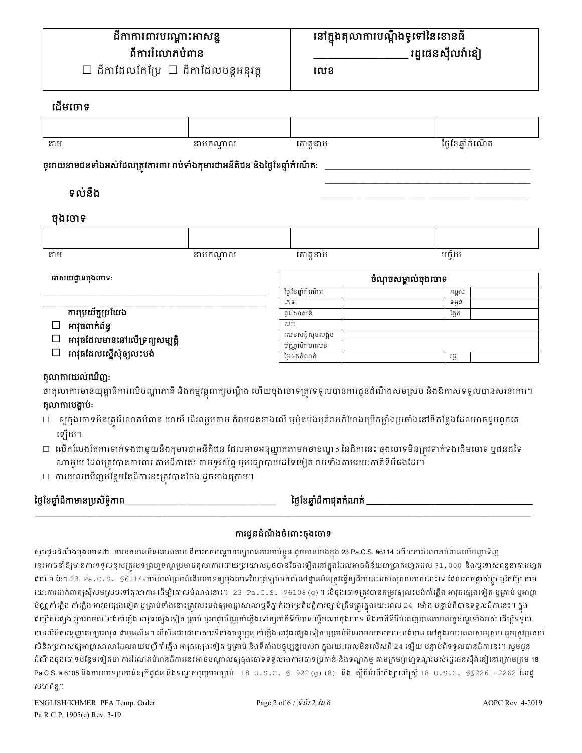# នៅក្នុងតុលាការបណ្តឹងទូទៅនៃខោនធឺ រដ្ឋផេនស៊ីលវ៉ានៀ

លេខ

# ដើមចោទ

| នាម | នាមកណ្តាល | គោត្តនាម | ថ្ងៃខែឆ្នាំកំណើត |
|-----|-----------|----------|------------------|
|     |           |          |                  |

## ចូររាយនាមជនទាំងអស់ដែលត្រូវការពារ រាប់ទាំងកុមារជាអនីតិជន និងថ្ងៃខែឆ្នាំកំណើត:-

# ទល់នឹង

# ចងចោទ

 $50080$ 

ថ្ងៃខែឆ្នាំដីកាមានប្រសិទ្ធិភាព

សហព័ន្ធ។

| នាម | $m$ $(5.50)$<br>11 Þ U<br><b>N</b> 1 | ی دی جو دھر<br>. | --- |
|-----|--------------------------------------|------------------|-----|

| អាសយដ្ឋានចុងចោទ:              | ចំណុចសម្គាល់ចុងចោទ |       |  |
|-------------------------------|--------------------|-------|--|
|                               | ថៃខែឆាំកំណើត       | កមស់  |  |
|                               | រភទ                | ទមន់  |  |
| ការប្រយ័ត្នប្រយែង             | ពជសាសន៍            | ភ្នែក |  |
| អាវុធពាក់ព័ន្ធ                | សក់                |       |  |
| អាវុធដែលមាននៅលើទ្រព្យសម្បត្តិ | លេខសនិសខសងម        |       |  |
|                               | ប័ណបើកបរលេខ        |       |  |
| អាវុធដែលស្នើសុំឲ្យលះបង់       | ថៃផតកំណត់          | វដ    |  |

| nnummmmmm                                                                                                                |
|--------------------------------------------------------------------------------------------------------------------------|
| ថាតុលាការមានយុត្តាធិការលើបណ្តាភាគី និងកម្មវត្ថុពាក្យបណ្តឹង ហើយចុងចោទត្រូវទទូលបានការជូនដំណឹងសមស្រប និងឱកាសទទូលបានសវនាការ។ |
| តុលាការបង្គាប់:                                                                                                          |

| $\Box$ ឲ្យចុងចោទមិនត្រូវរំលោភបំពាន យាយី ដើរឈ្លបតាម គំរាមជនខាងលើ ឬប៉ុនប៉ងឬគំរាមកំហែងប្រើកម្លាំងប្រឆាំងនៅទីកន្លែងដែលអាចជួបពួកគេ |  |  |  |
|-------------------------------------------------------------------------------------------------------------------------------|--|--|--|
| ទៅយោ                                                                                                                          |  |  |  |

- ទ្
- 

ការជូនដំណឹងចំពោះចុងចោទ

នេះអាចនាំឱ្យមានការទទួលខុសត្រវបទព្រហ្មទណ្ឌប្រមាថតុលាការដោយប្រយោលដូចបានចែងឡើងនៅក្នុងដែលអាចពិន័យជាប្រាក់រហូតដល់ \$1,000 និង/ឬទោសពន្ធនាគាររហូត ដល់ ៦ ខែ។ 23 Pa.C.S. §6114 ការយល់ព្រមពីដើមចោទឲ្យចុងចោទវិលត្រឡប់មកលំនៅដ្ឋានមិនត្រវធ្វើឲ្យដីកានេះអស់សុពលភាពនោះទេ ដែលអាចខ្លាស់ប្តូរ ឬកែប្រែ តាម រយ:ការដាក់ពាក្យសុំសមស្របទៅតុលាការ ដើម្បីគោលបំណងនោះ។ 23 Pa.C.S. §6108(g)។ បើចុងចោទត្រូវបានតម្រូវឲ្យលះបង់កាំភ្លើង អាវុធផ្សេងទៀត ឬគ្រាប់ ឬអាជ្ញា ប័ណ្ណកាំភ្លើង កាំភ្លើង អាវុធផ្សេងទៀត ឬគ្រាប់ទាំងនោះត្រវលះបង់ឲ្យអាជ្ញាសាលាឬទីភ្នាក់ងារប្រតិបត្តិការច្បាប់ត្រឹមត្រវក្នុងរយ:ពេល 24 ម៉ោង បន្ទាប់ពីបានទទួលដីកានេះ។ ក្នុង ដម្រើសផ្សេង អ្នកអាចលះបង់កាំភ្លើង អាវុធផ្សេងទៀត គ្រាប់ ឬអាជ្ញាប័ណ្ណកាំភ្លើងទៅឲ្យកាគីទីបីបាន ល្វាកណាចុងចោទ និងភាគីទីបីបំពេញបានតាមលក្ខខណ្ឌទាំងអស់ ដើម្បីទទួល បានលិខិតអនុញ្ញាតរក្សាអាវុធ ជាមុនសិន។ បើសិនជាដោយសារទីតាំងបច្ចុប្បន្ន កាំភ្លើង អាវុធផ្សេងទៀត ឬគ្រាប់មិនអាចយកមកលះបង់បាន នៅក្នុងរយ:ពេលសមស្រប អ្នកត្រវប្រគល់ លិខិតប្រកាសឲ្យអាជ្ញាសាលាដែលរាយបញ្ជីកាំភ្លើង អាវុធផ្សេងទៀត ឬគ្រាប់ និងទីតាំងបច្ចុប្បន្នរបស់វា ក្នុងរយៈពេលមិនលើសពី 24 ឡើយ បន្ទាប់ពីទទួលបានដីកានេះ។ សូមជូន ដំណឹងចុងចោទបន្ថែមទៀតថា ការរំលោភបំពានដីការនេះអាចបណ្តាលឲ្យចុងចោទទទួលរងការចោទប្រកាន់ និងទណ្ឌកម្ម តាមក្រមព្រហ្មទណ្ឌរបស់រដ្ឋជេនស៊ីវ៉ានៀនៅក្រោមក្រម 18 Pa.C.S. § 6105 និងការចោទប្រកាន់ឧក្រិដ្ឋជន និងទណ្ឌកម្មក្រោមច្បាប់ 18 ប.s.c. § 922(g) (8) និង ស្តីពីអំពើហិង្សាលើស្ត្រី 18 ប.s.c. §§2261–2262 នៃរដ្ឋ

សូមជូនដំណឹងចុងចោទថា ការខកខានមិនគោរពតាម ដីកាអាចបណ្តាលឲ្យមានការចាប់ខ្លួន ដូចមានចែងក្នុង 23 Pa.C.S. §6114 ហើយការរំលោភបំពានលើបញ្ហាទិញ

ថ្ងៃខែឆ្នាំដីកាផុតកំណត់ \_\_

- 
- 
- 
- 
- 
- 

| □  លើកលែងតែការទាក់ទងជាមួយនឹងកុមារជាអនីតិជន ដែលអាចអនុញ្ញាតតាមកថាខណ្ឌ 5 នៃដីកានេះ ចុងចោទមិនត្រវទាក់ទងដើមចោទ ឬជន |
|---------------------------------------------------------------------------------------------------------------|
| ណាមួយ ដែលត្រវបានការពារ តាមដីកានេះ តាមទូរស័ព្ទ ឬមធ្យោបាយដទៃទៀត រាប់ទាំងតាមរយ:ភាគីទីបីផងដែរ។                    |
| □ ការយល់ឃើញបន្ថែមនៃដីកានេះត្រូវបានចែង ដូចខាងក្រោម។                                                            |

| $\Box$ លើកលែងតែការទាក់ទងជាមួយនឹងកុមារជាអនីតិជន ដែលអាចអនុញ្ញាតតាមកថាខណ្ឌ s នៃដីកានេះ ចុងចោទមិនត្រវទាក់ទងដើមចោទ ឬជនដ |  |  |  |
|--------------------------------------------------------------------------------------------------------------------|--|--|--|
| ណាមួយ ដែលត្រវបានការពារ តាមដីកានេះ តាមទូរស័ព្ទ ឬមធ្យោបាយដទៃទៀត រាប់ទាំងតាមរយ:ភាគីទីបីផងដែរ។                         |  |  |  |

| $\Box$ លើកលែងតែការទាក់ទងជាមួយនឹងកុមារជាអនីតិជន ដែលអាចអនុញ្ញាតតាមកថាខណ្ឌ s នៃដីកានេះ ចុងចោទមិនត្រវទាក់ទងដើមចោទ ឬជន |  |
|-------------------------------------------------------------------------------------------------------------------|--|
| ណាមួយ ដែលត្រូវបានការពារ តាមដីកានេះ តាមទូរស័ព្ទ ឬមធ្យោបាយដទៃទៀត រាប់ទាំងតាមរយ:ភាគីទីបីផងដែរ។                       |  |

| $\Box$ លើកលែងតែការទាក់ទងជាមួយនឹងកុមារជាអនីតិជន ដែលអាចអនុញ្ញាតតាមកថាខណ្ឌ s នៃដីកានេះ ចុងចោទមិនត្រវទាក់ទងដើមចោទ ឬជនដ |
|--------------------------------------------------------------------------------------------------------------------|
| ណាមួយ ដែលត្រវបានការពារ តាមដីកានេះ តាមទូរស័ព្ទ ឬមធ្យោបាយដទៃទៀត រាប់ទាំងតាមរយ:ភាគីទីបីផងដែរ។                         |

| $\mathbf{v}_1 \cdot \mathbf{w}_2$                                                                                |
|------------------------------------------------------------------------------------------------------------------|
| $\Box$ លើកលែងតែការទាក់ទងជាមួយនឹងកុមារជាអនីតិជន ដែលអាចអនុញ្ញាតតាមកថាខណ្ឌ 5 នៃដីកានេះ ចុងចោទមិនត្រវទាក់ទងដើមចោទ ឬា |
| ណាមយ ដែលតេវបានការពារ តាមដីកានេះ តាមទរស័ព បមធេរាបាយដទៃទៀត រាប់ទាំងតាមរយ:ភាគីទីបីផងដែរ។                            |

| $\sim$ $\sim$ $\sim$ $\sim$                                                                                       |
|-------------------------------------------------------------------------------------------------------------------|
| $\Box$ លើកលែងតែការទាក់ទងជាមួយនឹងកុមារជាអនីតិជន ដែលអាចអនុញ្ញាតតាមកថាខណ្ឌ 5 នៃដីកានេះ ចុងចោទមិនត្រវទាក់ទងដើមចោទ ឬជន |
| ណាមយ ដែលត្រូវបានការពារ តាមដីកានេះ តាមទរស័ព បមធេរាបាយដទៃទៀត រាប់ទាំងតាមរយ:ភាគីទីបីផងដែរ។                           |

| $\Box$ លើកលែងតែការទាក់ទងជាមួយនឹងកុមារជាអនីតិជន ដែលអាចអនុញ្ញាតតាមកថាខណ្ឌ s នៃដីកានេះ ចុងចោទមិនត្រវទាក់ទងដើមចោទ ឬជន |  |
|-------------------------------------------------------------------------------------------------------------------|--|
| ណាមយ ដែលត្រូវបានការពារ តាមដីកានេះ តាមទរស័ព បមធេរាបាយដទៃទៀត រាប់ទាំងតាមរយ:ភាគីទីបីផងដែរ។                           |  |

| □   លើកលែងតែការទាក់ទងជាមួយនឹងកុមារជាអនីតិជន ដែលអាចអនុញ្ញាតតាមកថាខណ្ឌ 5 នៃដីកានេះ ចុងចោទមិនត្រវទាក់ទងដើមចោទ ឬជន |  |
|----------------------------------------------------------------------------------------------------------------|--|
| ណាមយ ដែលតេវបានការពារ តាមដីកានេះ តាមទូរស័ព បមធេរាបាយដទៃទៀត រាប់ទាំងតាមរយៈភាគីទីបីផងដែរ។                         |  |

| ر سی پی                                                                                                        |
|----------------------------------------------------------------------------------------------------------------|
| □   លើកលែងតែការទាក់ទងជាមួយនឹងកុមារជាអនីតិជន ដែលអាចអនុញ្ញាតតាមកថាខណ្ឌ 5 នៃដីកានេះ ចុងចោទមិនត្រវទាក់ទងដើមចោទ ឬជន |
| ា៣មួយ ដែលគេវិញនូការពារ តាមដីកានេះ តាមទូរស័ព មេច្ឆេលជាយដ្ឋទៃទៀត រាប់ទាំងតាមរយៈភាគីទីប្តឹងឯដែរ។                  |

| ទ្បេយ។                                                                                                             |  |
|--------------------------------------------------------------------------------------------------------------------|--|
| $\supset$ លើកលែងតែការទាក់ទងជាមួយនឹងកុមារជាអនីតិជន ដែលអាចអនុញ្ញាតតាមកថាខណ្ឌ 5 នៃដីកានេះ ចុងចោទមិនត្រវទាក់ទងដើមចោទ ឫ |  |
| $\label{eq:convergence} \text{nonlinear basis}$                                                                    |  |

| ម្សេយ។                                                                                                        |
|---------------------------------------------------------------------------------------------------------------|
| $\Box$ លើកលែងតែការទាក់ទងជាមួយនឹងកុមារជាអនីតិជន ដែលអាចអនុញ្ញាតតាមកថាខណ្ឌ s នៃដីកានេះ ចុងចោទមិនត្រវទាក់ទងដើមចោទ |
|                                                                                                               |

| း ေျပာ ၊                                                                                                      |  |
|---------------------------------------------------------------------------------------------------------------|--|
| ∃  លើកលែងតែការទាក់ទងជាមួយនឹងកុមារជាអនីតិជន ដែលអាចអនុញ្ញាតតាមកថាខណ្ឌ 5 នៃដីកានេះ ចុងចោទមិនត្រវទាក់ទងដើមចោទ ឬជរ |  |
| ាលាមយ ដែលគេវិលានការពារ តាមដីកានេះ តាមទូរស័ព បមពេលាយដូចទៀត រាប់ទាំងតាមរយៈភាគីទីបី៥ងដែរ។                        |  |

| $\mathbf{v}$ , and $\mathbf{v}$                                                                          |
|----------------------------------------------------------------------------------------------------------|
| □  លើកលែងតែការទាក់ទងជាមួយនឹងកុមារជាអនីតិជន ដែលអាចអនុញ្ញាតតាមកថាខណ្ឌ 5 នៃដីកានេះ ចុងចោទមិនត្រវទាក់ទងដើមចោ |
| ណាមយ ដែលត្រូវបានការពារ តាមដីកានេះ តាមទរស័ព បមធេរាបាយដទៃទៀត រាប់ទាំងតាមរយ:ភាគីទីបីផងដែរ។                  |

| ုပ္ျပပ္ ၂                                                                                                         |  |
|-------------------------------------------------------------------------------------------------------------------|--|
| $\Box$ លើកលែងតែការទាក់ទងជាមួយនឹងកុមារជាអនីតិជន ដែលអាចអនុញ្ញាតតាមកថាខណ្ឌ 5 នៃដីកានេះ ចុងចោទមិនត្រវទាក់ទងដើមចោទ ឬជន |  |
| ណាមយ ដែលតេវបានការពារ តាមដីកានេះ តាមទូរស័ព បមពេលាយដទៃទៀត រាប់ទាំងតាមរយៈភាគីទីបីផងដែរ។                              |  |

| ، سی ب                                                                                                   |
|----------------------------------------------------------------------------------------------------------|
| ⊐  លើកលែងតែការទាក់ទងជាមួយនឹងកុមារជាអនីតិជន ដែលអាចអនុញ្ញាតតាមកថាខណ្ឌ s នៃដីកានេះ ចុងចោទមិនត្រវទាក់ទងដើមចេ |
| ណាមួយ ដែលត្រវបានការពារ តាមដីកានេះ តាមទូរស័ព្ទ ឬមធ្យោបាយដទៃទៀត រាប់ទាំងតាមរយ:ភាគីទីបីផងដែរ។               |

| း ေျပာ ၊                                                                                                      |  |
|---------------------------------------------------------------------------------------------------------------|--|
| ⊐  លើកលែងតែការទាក់ទងជាមួយនឹងកុមារជាអនីតិជន ដែលអាចអនុញ្ញាតតាមកថាខណ្ឌ 5 នៃដីកានេះ ចុងចោទមិនត្រវទាក់ទងដើមចោទ ឬជន |  |
| ណាមយ ដែលគេវបានការពារ តាមដីកានេះ តាមទរស័ព បមធេរាបាយដទៃទៀត រាប់ទាំងតាមរយៈភាគីទីបីផងដែរ។                         |  |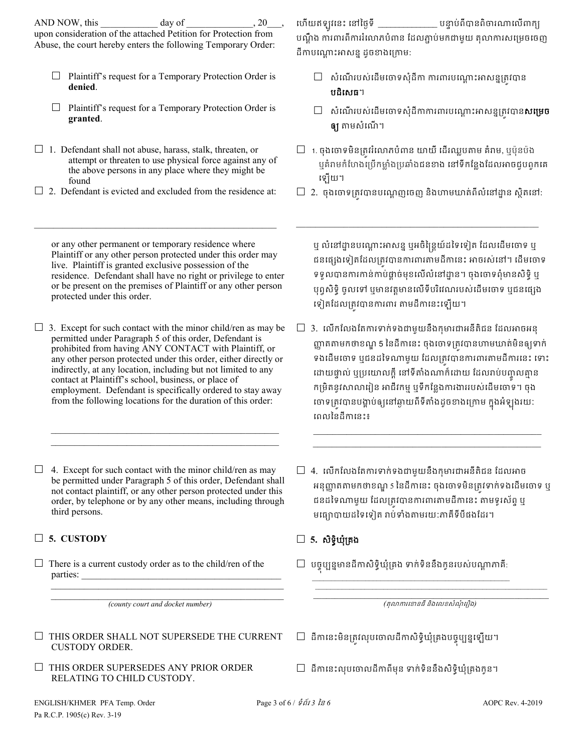AND NOW, this day of 20 upon consideration of the attached Petition for Protection from Abuse, the court hereby enters the following Temporary Order:

- $\Box$  Plaintiff's request for a Temporary Protection Order is **denied**.
- $\Box$  Plaintiff's request for a Temporary Protection Order is **granted**.
- $\Box$  1. Defendant shall not abuse, harass, stalk, threaten, or attempt or threaten to use physical force against any of the above persons in any place where they might be found
- $\Box$  2. Defendant is evicted and excluded from the residence at:

 $\mathcal{L}_\text{max}$  and  $\mathcal{L}_\text{max}$  and  $\mathcal{L}_\text{max}$  and  $\mathcal{L}_\text{max}$  and  $\mathcal{L}_\text{max}$ 

ហើយឥឡូវនេះ នៅថ្ងៃទី \_  $\begin{array}{c} \begin{array}{c} \dots \end{array} \end{array}$ បណ្តឹង ការពារពីការរំលោភបំពាន ដែលភ្ជាប់មកជាមួយ តុលាការសម្រេចចេញ ដីកាបណ្តោះអាសន្ន ដូចខាងក្រោម:

- $\Box$  សំណើរបស់ដើមចោទសុំដីកា ការពារបណ្តោះអាសន្នត្រូវបាន បដិេសធ។
- $\Box$  សំណើរបស់ដើមចោទសុំដីកាការពារបណ្តោះអាសន្នគ្រវបាន**សម្រេច ឲ្យ** តាមសំណើ។
- $\Box$  1. ចុងចោទមិនត្រវរំលោភបំពាន យាយី ដើរឈ្លបតាម គំរាម, ឬប៉ុនប៉ង ឬគំរាមកំហែងប្រើកម្លាំងប្រឆាំងជនខាង នៅទីកន្លែងដែលអាចជួបពួកគេ េឡយ។
- $\Box$  2. ចុងចោទត្រវបានបណ្តេញចេញ និងហាមឃាត់ពីលំនៅដ្ឋាន ស្ថិតនៅ:

\_\_\_\_\_\_\_\_\_\_\_\_\_\_\_\_\_\_\_\_\_\_\_\_\_\_\_\_\_\_\_\_\_\_\_\_\_\_\_\_\_\_\_\_\_\_\_\_\_\_\_

or any other permanent or temporary residence where Plaintiff or any other person protected under this order may live. Plaintiff is granted exclusive possession of the residence. Defendant shall have no right or privilege to enter or be present on the premises of Plaintiff or any other person protected under this order.

 $\Box$  3. Except for such contact with the minor child/ren as may be permitted under Paragraph 5 of this order, Defendant is prohibited from having ANY CONTACT with Plaintiff, or any other person protected under this order, either directly or indirectly, at any location, including but not limited to any contact at Plaintiff's school, business, or place of employment. Defendant is specifically ordered to stay away from the following locations for the duration of this order:

 $\Box$  4. Except for such contact with the minor child/ren as may be permitted under Paragraph 5 of this order, Defendant shall not contact plaintiff, or any other person protected under this order, by telephone or by any other means, including through third persons.

 $\mathcal{L}_\text{max} = \frac{1}{2} \sum_{i=1}^{n} \frac{1}{2} \sum_{i=1}^{n} \frac{1}{2} \sum_{i=1}^{n} \frac{1}{2} \sum_{i=1}^{n} \frac{1}{2} \sum_{i=1}^{n} \frac{1}{2} \sum_{i=1}^{n} \frac{1}{2} \sum_{i=1}^{n} \frac{1}{2} \sum_{i=1}^{n} \frac{1}{2} \sum_{i=1}^{n} \frac{1}{2} \sum_{i=1}^{n} \frac{1}{2} \sum_{i=1}^{n} \frac{1}{2} \sum_{i=1}^{n} \frac{1$  $\mathcal{L}_\mathcal{L}$  , which is a set of the set of the set of the set of the set of the set of the set of the set of the set of the set of the set of the set of the set of the set of the set of the set of the set of the set of

# **5. CUSTODY 5.** សិទិ�ឃុំ្រគង

 $\Box$  There is a current custody order as to the child/ren of the parties:

 $\mathcal{L}_\text{max}$  , and the set of the set of the set of the set of the set of the set of the set of the set of the set of the set of the set of the set of the set of the set of the set of the set of the set of the set of the *(county court and docket number)*

 $\mathcal{L}_\text{max}$  , and the set of the set of the set of the set of the set of the set of the set of the set of the set of the set of the set of the set of the set of the set of the set of the set of the set of the set of the

- $\Box$  THIS ORDER SHALL NOT SUPERSEDE THE CURRENT CUSTODY ORDER.
- $\Box$  THIS ORDER SUPERSEDES ANY PRIOR ORDER RELATING TO CHILD CUSTODY.

ឬ លំនៅដ្ឋានបណ្តោះអាសន្ន ឬអចិន្ត្រៃយ៍ដទៃទៀត ដែលដើមចោទ ឬ ជនផ្សេងទៀតដែលត្រូវបានការពារតាមដីកានេះ អាចរស់នៅ។ ដើមចោទ ទទួលបានការកាន់កាប់ផ្តាច់មុខលើលំនៅដ្ឋាន។ ចុងចោទពុំមានសិទិ្ ឬ បុព្វសិទិ្ធ ចូលទៅ ឬមានវត្តមានលើទីបរិវេណរបស់ដើមចោទ ឬជនផ្សេង េទៀតែដល្រត�វបានករពរ តមដីកេនះេឡយ។

 $\Box$  3. លើកលែងតែការទាក់ទងជាមួយនឹងកុមារជាអនីតិជន ដែលអាចអនុ ញ្ញាតតាមកថាខណ្ឌ 5 នៃដីកានេះ ចុងចោទត្រូវបានហាមឃាត់មិនឲ្យទាក់ ទងដើមចោទ ឬជនដទៃណាមួយ ដែលត្រូវបានការពារតាមដីការនេះ ទោះ ដោយផ្ទាល់ ឬប្រយោលក្តី នោទតាងណាក៏ដោយ ដែលរាបបញ្ចូលគ្មាន កម្រិតនូវសាលារៀន អាជីវកម្ម ឬទីកន្លែងការងាររបស់ដើមចោទ។ ចុង ចោទត្រូវបានបង្គាបឲ្យនោឆ្ងាយពទតាងដូចខាងក្រោម ក្នុងអឡុងរយ: េពលៃនដីកេនះ៖

\_\_\_\_\_\_\_\_\_\_\_\_\_\_\_\_\_\_\_\_\_\_\_\_\_\_\_\_\_\_\_\_\_\_\_\_\_\_\_\_\_\_\_\_\_\_\_\_  $\mathcal{L}_\text{max} = \{ \mathcal{L}_\text{max} \mid \mathcal{L}_\text{max} \}$ 

 $\Box$  4. េលើកលែងតែការទាក់ទងជាមួយនឹងកុមារជាអនីតិជន ដែលអាច អនុញ្ញាតតាមកថាខណ្ឌ 5 នៃដីកានេះ ចុងចោទមិនត្រវទាក់ទងដើមចោទ ឬ ជនដទៃណាមួយ ដែលត្រវបានការពារតាមដីកានេះ តាមទូរស័ព្ទ ឬ មេធ្យោបាយដៃទេទៀត រប់ទំងតមរយៈភាគីទីបីផងែដរ។

 $\Box$  បច្ចុប្បន្នមានដីកាសិទ្ធិឃុំគ្រង ទាក់ទិននឹងកូនរបស់បណ្តាភាគី:

 $\frac{1}{2}$  ,  $\frac{1}{2}$  ,  $\frac{1}{2}$  ,  $\frac{1}{2}$  ,  $\frac{1}{2}$  ,  $\frac{1}{2}$  ,  $\frac{1}{2}$  ,  $\frac{1}{2}$  ,  $\frac{1}{2}$  ,  $\frac{1}{2}$  ,  $\frac{1}{2}$  ,  $\frac{1}{2}$  ,  $\frac{1}{2}$  ,  $\frac{1}{2}$  ,  $\frac{1}{2}$  ,  $\frac{1}{2}$  ,  $\frac{1}{2}$  ,  $\frac{1}{2}$  ,  $\frac{1$ *(*តុលករេខនធីនិងេលខសំណុំេរឿង*)* 

- $\Box$  ដីកានេះមិនត្រូវលុបចោលដីកាសិទ្ធិឃុំគ្រងបច្ចុប្បន្នឡើយ។
- $\Box$  ដីកានេះលុបចោលដីកាពីមុន ទាក់ទិននឹងសិទ្ធិឃុំគ្រងកូន។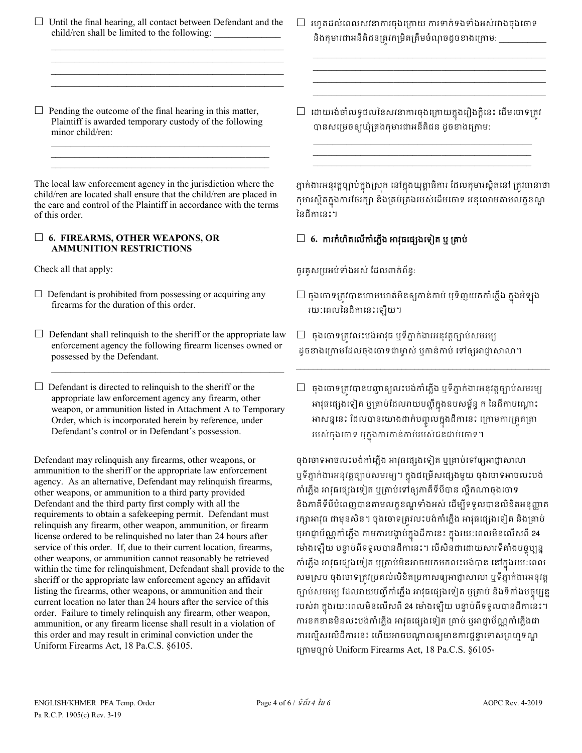$\Box$  Until the final hearing, all contact between Defendant and the child/ren shall be limited to the following:  $\mathcal{L}_\text{max} = \frac{1}{2} \sum_{i=1}^{n} \frac{1}{2} \sum_{i=1}^{n} \frac{1}{2} \sum_{i=1}^{n} \frac{1}{2} \sum_{i=1}^{n} \frac{1}{2} \sum_{i=1}^{n} \frac{1}{2} \sum_{i=1}^{n} \frac{1}{2} \sum_{i=1}^{n} \frac{1}{2} \sum_{i=1}^{n} \frac{1}{2} \sum_{i=1}^{n} \frac{1}{2} \sum_{i=1}^{n} \frac{1}{2} \sum_{i=1}^{n} \frac{1}{2} \sum_{i=1}^{n} \frac{1$ 

 $\mathcal{L}_\text{max}$  , and the set of the set of the set of the set of the set of the set of the set of the set of the set of the set of the set of the set of the set of the set of the set of the set of the set of the set of the  $\mathcal{L}_\text{max}$  , and the set of the set of the set of the set of the set of the set of the set of the set of the set of the set of the set of the set of the set of the set of the set of the set of the set of the set of the  $\mathcal{L}_\text{max}$  , and the set of the set of the set of the set of the set of the set of the set of the set of the set of the set of the set of the set of the set of the set of the set of the set of the set of the set of the

 $\Box$  Pending the outcome of the final hearing in this matter, Plaintiff is awarded temporary custody of the following minor child/ren:

 $\mathcal{L}_\mathcal{L}$  , and the set of the set of the set of the set of the set of the set of the set of the set of the set of the set of the set of the set of the set of the set of the set of the set of the set of the set of th  $\mathcal{L}_\mathcal{L}$  , which is a set of the set of the set of the set of the set of the set of the set of the set of the set of the set of the set of the set of the set of the set of the set of the set of the set of the set of  $\mathcal{L}_\text{max} = \frac{1}{2} \sum_{i=1}^{n} \frac{1}{2} \sum_{i=1}^{n} \frac{1}{2} \sum_{i=1}^{n} \frac{1}{2} \sum_{i=1}^{n} \frac{1}{2} \sum_{i=1}^{n} \frac{1}{2} \sum_{i=1}^{n} \frac{1}{2} \sum_{i=1}^{n} \frac{1}{2} \sum_{i=1}^{n} \frac{1}{2} \sum_{i=1}^{n} \frac{1}{2} \sum_{i=1}^{n} \frac{1}{2} \sum_{i=1}^{n} \frac{1}{2} \sum_{i=1}^{n} \frac{1$ 

The local law enforcement agency in the jurisdiction where the child/ren are located shall ensure that the child/ren are placed in the care and control of the Plaintiff in accordance with the terms of this order.

## **6. FIREARMS, OTHER WEAPONS, OR AMMUNITION RESTRICTIONS**

- $\Box$  Defendant is prohibited from possessing or acquiring any firearms for the duration of this order.
- $\Box$  Defendant shall relinquish to the sheriff or the appropriate law enforcement agency the following firearm licenses owned or possessed by the Defendant.

\_\_\_\_\_\_\_\_\_\_\_\_\_\_\_\_\_\_\_\_\_\_\_\_\_\_\_\_\_\_\_\_\_\_\_\_\_\_\_\_\_\_\_\_\_\_\_\_\_

 $\Box$  Defendant is directed to relinquish to the sheriff or the appropriate law enforcement agency any firearm, other weapon, or ammunition listed in Attachment A to Temporary Order, which is incorporated herein by reference, under Defendant's control or in Defendant's possession.

Defendant may relinquish any firearms, other weapons, or ammunition to the sheriff or the appropriate law enforcement agency. As an alternative, Defendant may relinquish firearms, other weapons, or ammunition to a third party provided Defendant and the third party first comply with all the requirements to obtain a safekeeping permit. Defendant must relinquish any firearm, other weapon, ammunition, or firearm license ordered to be relinquished no later than 24 hours after service of this order. If, due to their current location, firearms, other weapons, or ammunition cannot reasonably be retrieved within the time for relinquishment, Defendant shall provide to the sheriff or the appropriate law enforcement agency an affidavit listing the firearms, other weapons, or ammunition and their current location no later than 24 hours after the service of this order. Failure to timely relinquish any firearm, other weapon, ammunition, or any firearm license shall result in a violation of this order and may result in criminal conviction under the Uniform Firearms Act, 18 Pa.C.S. §6105.

 $\Box$  រហូតដល់ពេលសវនាការចុងក្រោយ ការទាក់ទងទាំងអស់រវាងចុងចោទ និងកុមារជាអនីតិជនត្រវកម្រិតត្រឹមចំណុចដូចខាងក្រោម: \_\_\_\_\_\_

 $\mathcal{L}_\text{max} = \mathcal{L}_\text{max} = \mathcal{L}_\text{max} = \mathcal{L}_\text{max} = \mathcal{L}_\text{max} = \mathcal{L}_\text{max} = \mathcal{L}_\text{max} = \mathcal{L}_\text{max} = \mathcal{L}_\text{max} = \mathcal{L}_\text{max} = \mathcal{L}_\text{max} = \mathcal{L}_\text{max} = \mathcal{L}_\text{max} = \mathcal{L}_\text{max} = \mathcal{L}_\text{max} = \mathcal{L}_\text{max} = \mathcal{L}_\text{max} = \mathcal{L}_\text{max} = \mathcal{$  $\mathcal{L}_\text{max} = \mathcal{L}_\text{max} = \mathcal{L}_\text{max} = \mathcal{L}_\text{max} = \mathcal{L}_\text{max} = \mathcal{L}_\text{max} = \mathcal{L}_\text{max} = \mathcal{L}_\text{max} = \mathcal{L}_\text{max} = \mathcal{L}_\text{max} = \mathcal{L}_\text{max} = \mathcal{L}_\text{max} = \mathcal{L}_\text{max} = \mathcal{L}_\text{max} = \mathcal{L}_\text{max} = \mathcal{L}_\text{max} = \mathcal{L}_\text{max} = \mathcal{L}_\text{max} = \mathcal{$  $\mathcal{L}_\text{max}$  and  $\mathcal{L}_\text{max}$  and  $\mathcal{L}_\text{max}$  and  $\mathcal{L}_\text{max}$  and  $\mathcal{L}_\text{max}$  $\frac{1}{2}$  ,  $\frac{1}{2}$  ,  $\frac{1}{2}$  ,  $\frac{1}{2}$  ,  $\frac{1}{2}$  ,  $\frac{1}{2}$  ,  $\frac{1}{2}$  ,  $\frac{1}{2}$  ,  $\frac{1}{2}$  ,  $\frac{1}{2}$  ,  $\frac{1}{2}$  ,  $\frac{1}{2}$  ,  $\frac{1}{2}$  ,  $\frac{1}{2}$  ,  $\frac{1}{2}$  ,  $\frac{1}{2}$  ,  $\frac{1}{2}$  ,  $\frac{1}{2}$  ,  $\frac{1$ 

 $\Box$  -ដោយរង់ចាំលទ្ធផលនៃសវនាការចុងក្រោយក្នុងរឿងក្តីនេះ ដើមចោទត្រូវ បានសេ្រមចឲ្យឃុំ្រគងកុមារជាអនីតិជន ដូចខងេ្រកម:

\_\_\_\_\_\_\_\_\_\_\_\_\_\_\_\_\_\_\_\_\_\_\_\_\_\_\_\_\_\_\_\_\_\_\_\_\_\_\_\_\_\_\_\_\_\_ \_\_\_\_\_\_\_\_\_\_\_\_\_\_\_\_\_\_\_\_\_\_\_\_\_\_\_\_\_\_\_\_\_\_\_\_\_\_\_\_\_\_\_\_\_\_ \_\_\_\_\_\_\_\_\_\_\_\_\_\_\_\_\_\_\_\_\_\_\_\_\_\_\_\_\_\_\_\_\_\_\_\_\_\_\_\_\_\_\_\_\_\_

ភ្នាក់ងារអនុវត្តច្បាប់ក្នុងស្រុក នៅក្នុងយុត្តាធិការ ដែលកុមារស្ថិតនៅ ត្រូវធានាថា កុមារស្ថតក្នុងការថេរក្សា នងគ្រប់គ្រងរបស់ដេមថោទ អនុលោមតាមលក្ខខណ្ឌ ៃនដីកេនះ។

# $\Box$  6. ការកំហិតលើកាំភ្លើង អាវុធផ្សេងទៀត ឬ គ្រាប់

Check all that apply: ចូរគូស្របអប់ទំងអស់ ែដលពក់ព័ន�:

- $\Box$  ចុងចោទត្រូវបានហាមឃាត់មិនឲ្យកាន់កាប់ ឬទិញយកកាំភ្លើង ក្នុងអំឡុង រយៈេពលៃនដីកេនះេឡយ។
- $\Box$  ចុងចោទត្រូវលះបង់អាវុធ ឬទីភ្នាក់ងារអនុវត្តច្បាប់សមរម្យ ដូចខាងក្រោមដែលចុងចោទជាម្ចាស់ ឬកាន់កាប់ ទៅឲ្យអាជ្ញាសាលា។
- $\Box$  ចុងចោទត្រវបានបញ្ហាឲ្យលះបង់កាំភ្លើង ឬទីភ្នាក់ងារអនុវត្តច្បាប់សមរម្យ អាវុធផ្សេងទៀត ឬគ្រាប់ដែលរាយបញ្ចក្នុងឧបសម្ពន្ធ ក នេដកាបណ្តោះ អាសន្ននេះ ដេលបានយោងដាកបញ្ចូលក្នុងដកានេះ ក្រោមការត្រូតត្រា របស់ចុងចោទ ឬក្នុងការកាន់កាប់របស់ជនជាប់ចោទ។

\_\_\_\_\_\_\_\_\_\_\_\_\_\_\_\_\_\_\_\_\_\_\_\_\_\_\_\_\_\_\_\_\_\_\_\_\_\_\_\_\_\_\_\_\_\_\_\_\_\_\_\_\_\_\_\_\_\_\_\_

ចុងចោទអាចលះបង់កាំភ្លើង អាវុធផ្សេងទៀត ឬគ្រាប់ទៅឲ្យអាជ្ញាសាលា ឬទភ្នាក់ងារអនុវត្តច្បាប់សមរម្យ។ ក្នុងជម្រេសផ្សេងមួយ ចុងចោទអាចលះបង កាំភ្លើង អាវុធផ្សេងទៀត ឬគ្រាប់ទៅឲ្យភាគីទីបីបាន ល្ខឹកណាចុងចោទ និងភាគីទីបីបំពេញបានតាមលក្ខខណ្ឌទាំងអស់ ដើម្បីទទួលបានលិខិតអនុញ្ញាត រក្សាអាវុធ ជាមុនសិន។ ចុងចោទត្រវលះបង់កាំភ្លើង អាវុធផ្សេងទៀត និងគ្រាប់ ឬអាជ្ញាបណ្ណកាភ្លេង តាមការបង្គាប់ក្នុងដីកានេះ ក្នុងរយ:ពេលមិនលេសពី 24 មោងឡេយ បន្ទាប់ពទទួលបានដីកានេះ។ បេសនិជាដោយសារទីតាំងបច្ចុប្បន្ន ការភ្លង អាវុធផ្សេងទៀត ឬគ្រាប់មិនអាចយកមកលះបង់បាន នៅក្នុងរយៈពេល សមស្រប ចុងចោទត្រវប្រគល់លិខិតប្រកាសឲ្យអាជ្ញាសាលា ឬទីភ្នាក់ងារអនុវត្ត ច្បាប់សមរម្យ ដេលវាយបញ្ជូការភ្លង អាវុធផ្សេងទៀត ឬគ្រាប់ និងទីតាំងបច្ចុប្បន្ន របស់វា ក្នុងរយៈពេលមិនលេសពី 24 ម៉ោងឡេយ បន្ទាប់ពីទទួលបានដីកានេះ។ ការខកខានមិនលះបង់កាំភ្លើង អាវុធផ្សេងទៀត គ្រាប់ ឬអាជ្ញាប័ណ្ណកាំភ្លើងជា ការល្មើសលើដីការនេះ ហើយអាចបណ្ដាលឲ្យមានការផ្តន្ទាទោសព្រហ្មទណ្ឌ េ្រកមច្បោប់ Uniform Firearms Act, 18 Pa.C.S. §6105។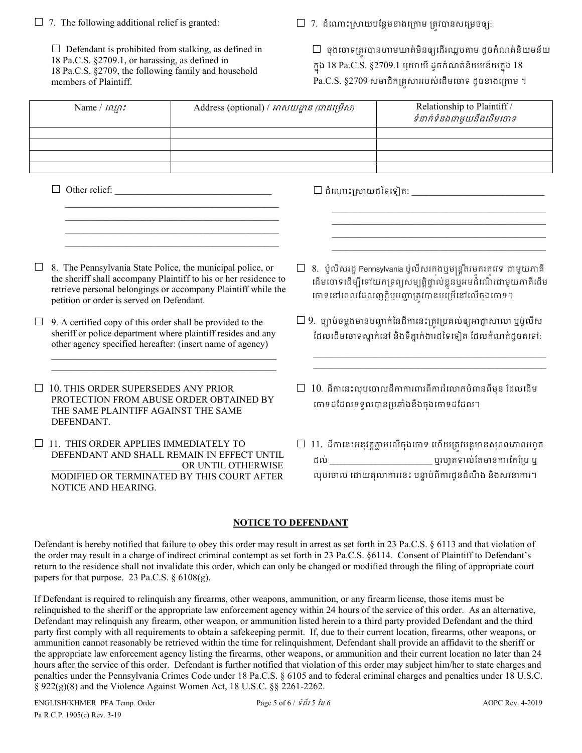|  |  | $\Box$ 7. The following additional relief is granted: |  |
|--|--|-------------------------------------------------------|--|
|  |  |                                                       |  |

 $\Box$  Defendant is prohibited from stalking, as defined in 18 Pa.C.S. §2709.1, or harassing, as defined in 18 Pa.C.S. §2709, the following family and household members of Plaintiff.

 $\Box$  7. ដំណោះស្រាយបន្ថែមខាងក្រោម ត្រវបានសម្រេចឲ្យ:

 $\Box$  ចុងចោទត្រវបានហាមឃាត់មិនឲ្យដើរឈ្លបតាម ដូចកំណត់និយមន័យ ក្នុង 18 Pa.C.S. §2709.1 ឬយាយី ដូចកំណត់និយមន័យក្នុង 18 Pa.C.S.  $§2709$  សមាជិកគ្រសាររបស់ដើមចោទ ដូចខាងក្រោម ។

| Name $/$ $m\eta$ : | Address (optional) / អាសយដ្ឋាន (ជាជម្រើស) | Relationship to Plaintiff /<br>ទំនាក់ទំនងជាមួយនឹងដើមចោទ |
|--------------------|-------------------------------------------|---------------------------------------------------------|
|                    |                                           |                                                         |
|                    |                                           |                                                         |
|                    |                                           |                                                         |
|                    |                                           |                                                         |

 $\Box$  Other relief:

 $\square$  ដំណោះស្រាយដទៃទៀត: \_\_\_\_\_\_\_\_

 $\Box$  8. The Pennsylvania State Police, the municipal police, or the sheriff shall accompany Plaintiff to his or her residence to retrieve personal belongings or accompany Plaintiff while the petition or order is served on Defendant.

 $\mathcal{L}_\text{max}$  and  $\mathcal{L}_\text{max}$  and  $\mathcal{L}_\text{max}$  and  $\mathcal{L}_\text{max}$  and  $\mathcal{L}_\text{max}$  $\overline{\phantom{a}}$  ,  $\overline{\phantom{a}}$  ,  $\overline{\phantom{a}}$  ,  $\overline{\phantom{a}}$  ,  $\overline{\phantom{a}}$  ,  $\overline{\phantom{a}}$  ,  $\overline{\phantom{a}}$  ,  $\overline{\phantom{a}}$  ,  $\overline{\phantom{a}}$  ,  $\overline{\phantom{a}}$  ,  $\overline{\phantom{a}}$  ,  $\overline{\phantom{a}}$  ,  $\overline{\phantom{a}}$  ,  $\overline{\phantom{a}}$  ,  $\overline{\phantom{a}}$  ,  $\overline{\phantom{a}}$  $\mathcal{L}_\text{max}$  and  $\mathcal{L}_\text{max}$  and  $\mathcal{L}_\text{max}$  and  $\mathcal{L}_\text{max}$  and  $\mathcal{L}_\text{max}$  $\overline{\phantom{a}}$  ,  $\overline{\phantom{a}}$  ,  $\overline{\phantom{a}}$  ,  $\overline{\phantom{a}}$  ,  $\overline{\phantom{a}}$  ,  $\overline{\phantom{a}}$  ,  $\overline{\phantom{a}}$  ,  $\overline{\phantom{a}}$  ,  $\overline{\phantom{a}}$  ,  $\overline{\phantom{a}}$  ,  $\overline{\phantom{a}}$  ,  $\overline{\phantom{a}}$  ,  $\overline{\phantom{a}}$  ,  $\overline{\phantom{a}}$  ,  $\overline{\phantom{a}}$  ,  $\overline{\phantom{a}}$ 

 $\Box$  9. A certified copy of this order shall be provided to the sheriff or police department where plaintiff resides and any other agency specified hereafter: (insert name of agency)

 $\mathcal{L}_\text{max} = \mathcal{L}_\text{max} = \mathcal{L}_\text{max} = \mathcal{L}_\text{max} = \mathcal{L}_\text{max} = \mathcal{L}_\text{max} = \mathcal{L}_\text{max}$  $\mathcal{L}_\text{max}$  and  $\mathcal{L}_\text{max}$  and  $\mathcal{L}_\text{max}$  and  $\mathcal{L}_\text{max}$ 

 $\Box$  10. THIS ORDER SUPERSEDES ANY PRIOR PROTECTION FROM ABUSE ORDER OBTAINED BY THE SAME PLAINTIFF AGAINST THE SAME DEFENDANT.

□ 11. THIS ORDER APPLIES IMMEDIATELY TO DEFENDANT AND SHALL REMAIN IN EFFECT UNTIL OR UNTIL OTHERWISE MODIFIED OR TERMINATED BY THIS COURT AFTER NOTICE AND HEARING.

 $\Box$  8. ប៉ូលីសរដ្ឋ Pennsylvania ប៉ូលីសរកងឬមន្ត្រីតរមតរតវេទ ជាមួយភាគី ដេមចោទដេម្បីទោយកទ្រព្យសម្បត្តិផ្ទាល់ខ្លួនឬអមដំណេរជាមួយភាគីដេម ចោទនៅពេលដែលញត្តិឬបញ្ហាត្រវបានបម្រើនៅលើចុងចោទ។

 \_\_\_\_\_\_\_\_\_\_\_\_\_\_\_\_\_\_\_\_\_\_\_\_\_\_\_\_\_\_\_\_\_\_\_\_\_\_\_\_\_\_\_\_\_  $\mathcal{L}=\frac{1}{2} \sum_{i=1}^{n} \frac{1}{2} \sum_{i=1}^{n} \frac{1}{2} \sum_{i=1}^{n} \frac{1}{2} \sum_{i=1}^{n} \frac{1}{2} \sum_{i=1}^{n} \frac{1}{2} \sum_{i=1}^{n} \frac{1}{2} \sum_{i=1}^{n} \frac{1}{2} \sum_{i=1}^{n} \frac{1}{2} \sum_{i=1}^{n} \frac{1}{2} \sum_{i=1}^{n} \frac{1}{2} \sum_{i=1}^{n} \frac{1}{2} \sum_{i=1}^{n} \frac{1}{2} \sum_{$  \_\_\_\_\_\_\_\_\_\_\_\_\_\_\_\_\_\_\_\_\_\_\_\_\_\_\_\_\_\_\_\_\_\_\_\_\_\_\_\_\_\_\_\_\_  $\mathcal{L}=\frac{1}{2} \sum_{i=1}^{n} \frac{1}{2} \sum_{j=1}^{n} \frac{1}{2} \sum_{j=1}^{n} \frac{1}{2} \sum_{j=1}^{n} \frac{1}{2} \sum_{j=1}^{n} \frac{1}{2} \sum_{j=1}^{n} \frac{1}{2} \sum_{j=1}^{n} \frac{1}{2} \sum_{j=1}^{n} \frac{1}{2} \sum_{j=1}^{n} \frac{1}{2} \sum_{j=1}^{n} \frac{1}{2} \sum_{j=1}^{n} \frac{1}{2} \sum_{j=1}^{n} \frac{1}{2} \sum_{$ 

 $\square$  9. ច្បាប់ចម្លងមានបញ្ជាក់នៃដីកានេះត្រូវប្រគល់ឲ្យអាជ្ញាសាលា ឬប៉ូលីស ដែលដើមចោទស្នាក់នៅ និងទីភ្នាក់ងារដទៃទៀត ដែលកំណត់ដូចតទៅ:

\_\_\_\_\_\_\_\_\_\_\_\_\_\_\_\_\_\_\_\_\_\_\_\_\_\_\_\_\_\_\_\_\_\_\_\_\_\_\_\_\_\_\_\_\_\_\_\_\_  $\mathcal{L}_\text{max}$  and  $\mathcal{L}_\text{max}$  and  $\mathcal{L}_\text{max}$  and  $\mathcal{L}_\text{max}$  and  $\mathcal{L}_\text{max}$ 

- $\Box$   $10$ . ដីកានេះលុបចោលដីកាការពារពីការរំលោភបំពានពីមុន ដែលដើម េចទដែដលទទួលបាន្របឆាំងនឹងចុងេចទដែដល។
- $\Box$  11. ដីកានេះអនុវត្តភ្លាមលើចុងចោទ ហើយត្រវបន្តមានសុពលភាពរហូត ដល់ \_\_\_\_\_\_\_\_\_\_\_\_\_\_\_\_\_\_\_\_\_\_\_\_\_\_\_ ឬរហូតទល់ែតមានករែកែ្រប ឬ លុបចោល ដោយតុលាការនេះ បន្ទាប់ពីការជូនដំណឹង និងសវនាការ។

# **NOTICE TO DEFENDANT**

Defendant is hereby notified that failure to obey this order may result in arrest as set forth in 23 Pa.C.S. § 6113 and that violation of the order may result in a charge of indirect criminal contempt as set forth in 23 Pa.C.S. §6114. Consent of Plaintiff to Defendant's return to the residence shall not invalidate this order, which can only be changed or modified through the filing of appropriate court papers for that purpose. 23 Pa.C.S. § 6108(g).

If Defendant is required to relinquish any firearms, other weapons, ammunition, or any firearm license, those items must be relinquished to the sheriff or the appropriate law enforcement agency within 24 hours of the service of this order. As an alternative, Defendant may relinquish any firearm, other weapon, or ammunition listed herein to a third party provided Defendant and the third party first comply with all requirements to obtain a safekeeping permit. If, due to their current location, firearms, other weapons, or ammunition cannot reasonably be retrieved within the time for relinquishment, Defendant shall provide an affidavit to the sheriff or the appropriate law enforcement agency listing the firearms, other weapons, or ammunition and their current location no later than 24 hours after the service of this order. Defendant is further notified that violation of this order may subject him/her to state charges and penalties under the Pennsylvania Crimes Code under 18 Pa.C.S. § 6105 and to federal criminal charges and penalties under 18 U.S.C. § 922(g)(8) and the Violence Against Women Act, 18 U.S.C. §§ 2261-2262.